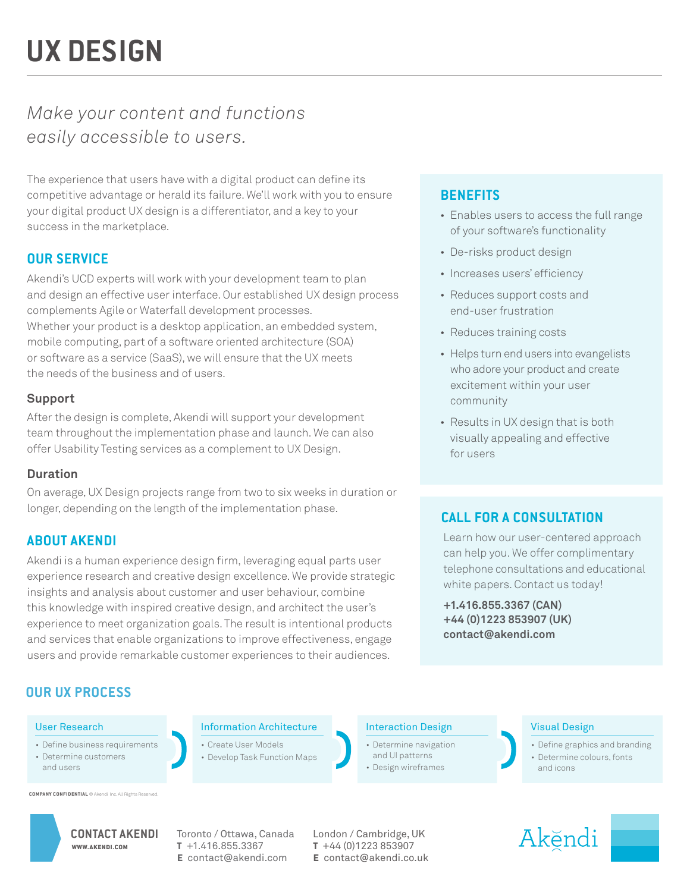# *Make your content and functions easily accessible to users.*

The experience that users have with a digital product can define its competitive advantage or herald its failure. We'll work with you to ensure your digital product UX design is a differentiator, and a key to your success in the marketplace.

# **OUR SERVICE**

Akendi's UCD experts will work with your development team to plan and design an effective user interface. Our established UX design process complements Agile or Waterfall development processes. Whether your product is a desktop application, an embedded system, mobile computing, part of a software oriented architecture (SOA) or software as a service (SaaS), we will ensure that the UX meets the needs of the business and of users.

### **Support**

After the design is complete, Akendi will support your development team throughout the implementation phase and launch. We can also offer Usability Testing services as a complement to UX Design.

### **Duration**

On average, UX Design projects range from two to six weeks in duration or longer, depending on the length of the implementation phase.

## **ABOUT AKENDI**

Akendi is a human experience design firm, leveraging equal parts user experience research and creative design excellence. We provide strategic insights and analysis about customer and user behaviour, combine this knowledge with inspired creative design, and architect the user's experience to meet organization goals. The result is intentional products and services that enable organizations to improve effectiveness, engage users and provide remarkable customer experiences to their audiences.

# **BENEFITS**

- Enables users to access the full range of your software's functionality
- De-risks product design
- Increases users' efficiency
- Reduces support costs and end-user frustration
- Reduces training costs
- Helps turn end users into evangelists who adore your product and create excitement within your user community
- Results in UX design that is both visually appealing and effective for users

## **CALL FOR A CONSULTATION**

Learn how our user-centered approach can help you. We offer complimentary telephone consultations and educational white papers. Contact us today!

**+1.416.855.3367 (CAN) +44 (0)1223 853907 (UK) contact@akendi.com**

# **OUR UX PROCESS**

### User Research

- Define business requirements
- Determine customers and users

**COMPANY CONFIDENTIAL** © Akendi Inc. All Rights Re

WWW.AKENDI.COM

Information Architecture

- Create User Models
- Develop Task Function Maps

### Interaction Design

- Determine navigation
- and UI patterns
- Design wireframes

### Visual Design

- Define graphics and branding
- Determine colours, fonts and icons





**t** +1.416.855.3367 **e** contact@akendi.com

CONTACT AKENDI Toronto / Ottawa, Canada London / Cambridge, UK **t** +44 (0)1223 853907 **e** contact@akendi.co.uk